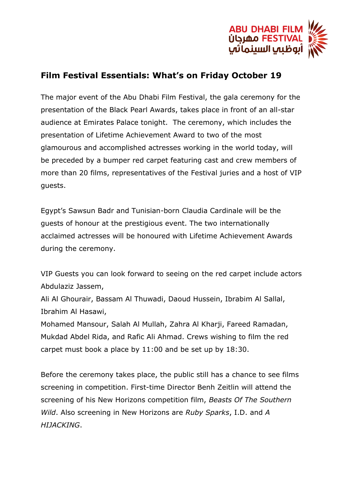

## **Film Festival Essentials: What's on Friday October 19**

The major event of the Abu Dhabi Film Festival, the gala ceremony for the presentation of the Black Pearl Awards, takes place in front of an all-star audience at Emirates Palace tonight. The ceremony, which includes the presentation of Lifetime Achievement Award to two of the most glamourous and accomplished actresses working in the world today, will be preceded by a bumper red carpet featuring cast and crew members of more than 20 films, representatives of the Festival juries and a host of VIP guests.

Egypt's Sawsun Badr and Tunisian-born Claudia Cardinale will be the guests of honour at the prestigious event. The two internationally acclaimed actresses will be honoured with Lifetime Achievement Awards during the ceremony.

VIP Guests you can look forward to seeing on the red carpet include actors Abdulaziz Jassem,

Ali Al Ghourair, Bassam Al Thuwadi, Daoud Hussein, Ibrabim Al Sallal, Ibrahim Al Hasawi,

Mohamed Mansour, Salah Al Mullah, Zahra Al Kharji, Fareed Ramadan, Mukdad Abdel Rida, and Rafic Ali Ahmad. Crews wishing to film the red carpet must book a place by 11:00 and be set up by 18:30.

Before the ceremony takes place, the public still has a chance to see films screening in competition. First-time Director Benh Zeitlin will attend the screening of his New Horizons competition film, *Beasts Of The Southern Wild*. Also screening in New Horizons are *Ruby Sparks*, I.D. and *A HIJACKING*.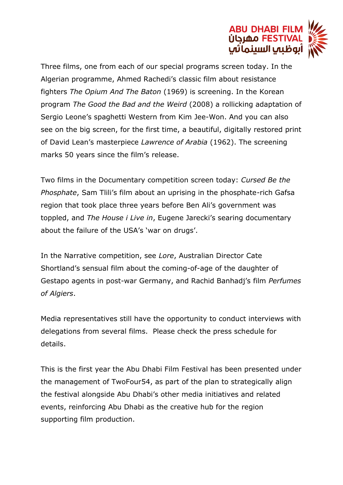

Three films, one from each of our special programs screen today. In the Algerian programme, Ahmed Rachedi's classic film about resistance fighters *The Opium And The Baton* (1969) is screening. In the Korean program *The Good the Bad and the Weird* (2008) a rollicking adaptation of Sergio Leone's spaghetti Western from Kim Jee-Won. And you can also see on the big screen, for the first time, a beautiful, digitally restored print of David Lean's masterpiece *Lawrence of Arabia* (1962). The screening marks 50 years since the film's release.

Two films in the Documentary competition screen today: *Cursed Be the Phosphate*, Sam Tlili's film about an uprising in the phosphate-rich Gafsa region that took place three years before Ben Ali's government was toppled, and *The House i Live in*, Eugene Jarecki's searing documentary about the failure of the USA's 'war on drugs'.

In the Narrative competition, see *Lore*, Australian Director Cate Shortland's sensual film about the coming-of-age of the daughter of Gestapo agents in post-war Germany, and Rachid Banhadj's film *Perfumes of Algiers*.

Media representatives still have the opportunity to conduct interviews with delegations from several films. Please check the press schedule for details.

This is the first year the Abu Dhabi Film Festival has been presented under the management of TwoFour54, as part of the plan to strategically align the festival alongside Abu Dhabi's other media initiatives and related events, reinforcing Abu Dhabi as the creative hub for the region supporting film production.